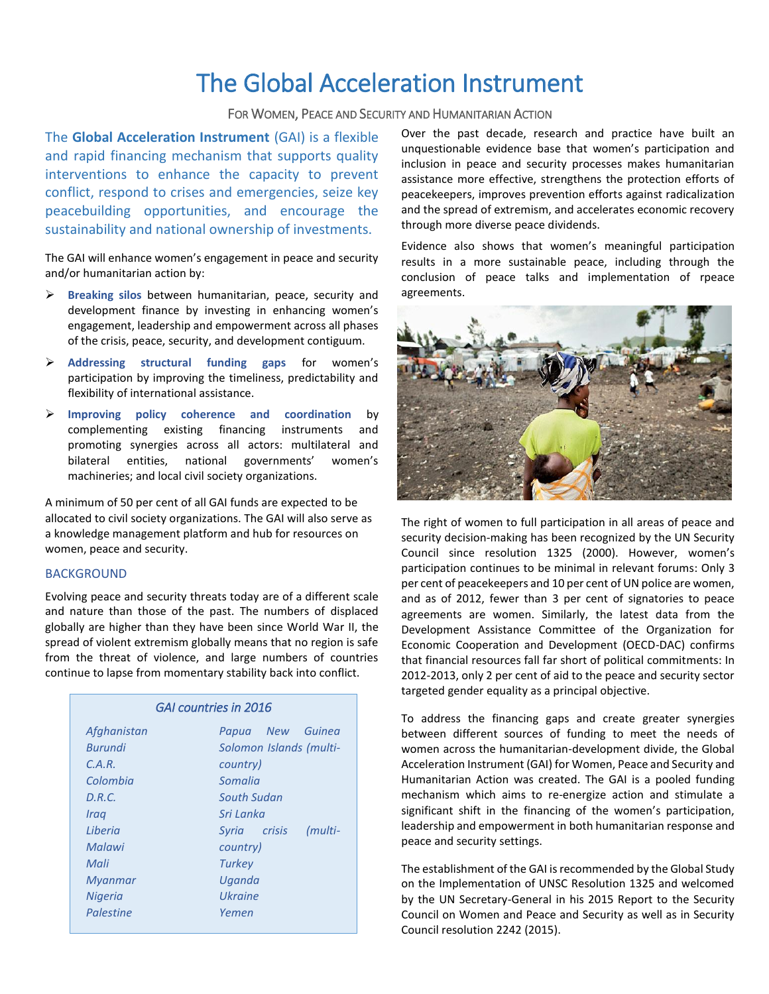# The Global Acceleration Instrument

### FOR WOMEN, PEACE AND SECURITY AND HUMANITARIAN ACTION

The **Global Acceleration Instrument** (GAI) is a flexible and rapid financing mechanism that supports quality interventions to enhance the capacity to prevent conflict, respond to crises and emergencies, seize key peacebuilding opportunities, and encourage the sustainability and national ownership of investments.

The GAI will enhance women's engagement in peace and security and/or humanitarian action by:

- **Breaking silos** between humanitarian, peace, security and development finance by investing in enhancing women's engagement, leadership and empowerment across all phases of the crisis, peace, security, and development contiguum.
- **Addressing structural funding gaps** for women's participation by improving the timeliness, predictability and flexibility of international assistance.
- **Improving policy coherence and coordination** by complementing existing financing instruments and promoting synergies across all actors: multilateral and bilateral entities, national governments' women's machineries; and local civil society organizations.

A minimum of 50 per cent of all GAI funds are expected to be allocated to civil society organizations. The GAI will also serve as a knowledge management platform and hub for resources on women, peace and security.

#### **BACKGROUND**

Evolving peace and security threats today are of a different scale and nature than those of the past. The numbers of displaced globally are higher than they have been since World War II, the spread of violent extremism globally means that no region is safe from the threat of violence, and large numbers of countries continue to lapse from momentary stability back into conflict.

| GAI countries in 2016 |                         |
|-----------------------|-------------------------|
| Afghanistan           | Papua New Guinea        |
| <b>Burundi</b>        | Solomon Islands (multi- |
| C.A.R.                | country)                |
| Colombia              | Somalia                 |
| D.R.C.                | South Sudan             |
| Iraq                  | Sri Lanka               |
| Liberia               | Syria crisis<br>(multi- |
| Malawi                | country)                |
| Mali                  | Turkey                  |
| Myanmar               | Uganda                  |
| <b>Nigeria</b>        | Ukraine                 |
| Palestine             | Yemen                   |

Over the past decade, research and practice have built an unquestionable evidence base that women's participation and inclusion in peace and security processes makes humanitarian assistance more effective, strengthens the protection efforts of peacekeepers, improves prevention efforts against radicalization and the spread of extremism, and accelerates economic recovery through more diverse peace dividends.

Evidence also shows that women's meaningful participation results in a more sustainable peace, including through the conclusion of peace talks and implementation of rpeace agreements.



The right of women to full participation in all areas of peace and security decision-making has been recognized by the UN Security Council since resolution 1325 (2000). However, women's participation continues to be minimal in relevant forums: Only 3 per cent of peacekeepers and 10 per cent of UN police are women, and as of 2012, fewer than 3 per cent of signatories to peace agreements are women. Similarly, the latest data from the Development Assistance Committee of the Organization for Economic Cooperation and Development (OECD-DAC) confirms that financial resources fall far short of political commitments: In 2012-2013, only 2 per cent of aid to the peace and security sector targeted gender equality as a principal objective.

To address the financing gaps and create greater synergies between different sources of funding to meet the needs of women across the humanitarian-development divide, the Global Acceleration Instrument (GAI) for Women, Peace and Security and Humanitarian Action was created. The GAI is a pooled funding mechanism which aims to re-energize action and stimulate a significant shift in the financing of the women's participation, leadership and empowerment in both humanitarian response and peace and security settings.

The establishment of the GAI is recommended by the Global Study on the Implementation of UNSC Resolution 1325 and welcomed by the UN Secretary-General in his 2015 Report to the Security Council on Women and Peace and Security as well as in Security Council resolution 2242 (2015).